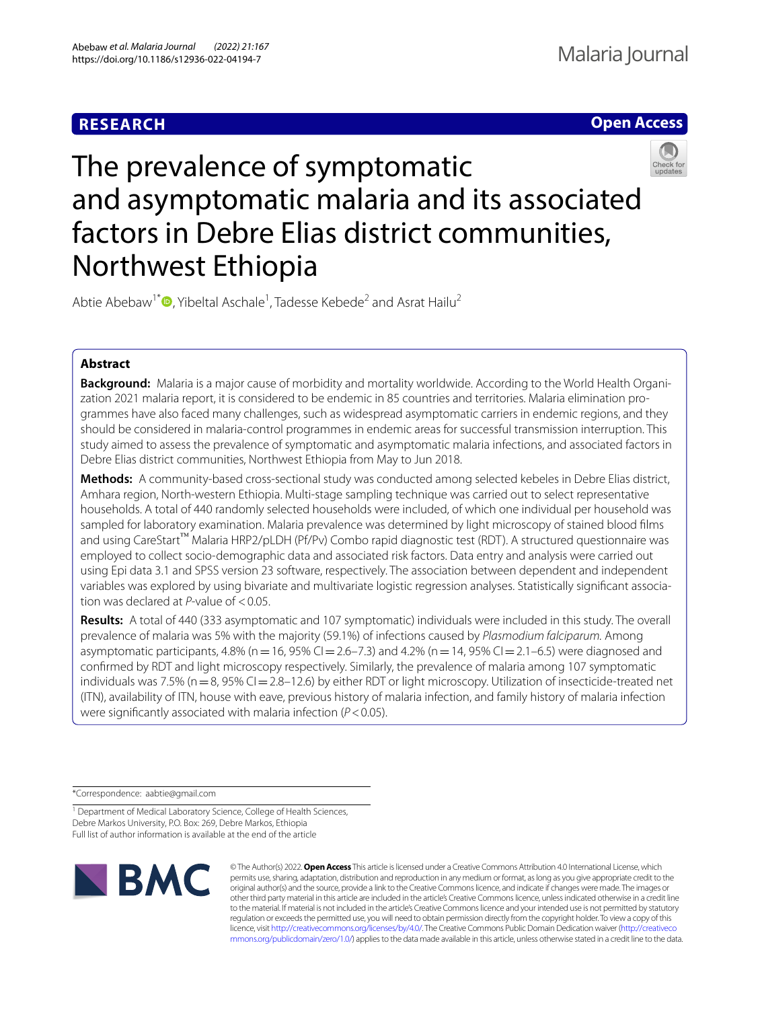# **RESEARCH**





# The prevalence of symptomatic and asymptomatic malaria and its associated factors in Debre Elias district communities, Northwest Ethiopia

Abtie Abebaw<sup>1\*</sup><sup>®</sup>[,](http://orcid.org/0000-0002-8132-4001) Yibeltal Aschale<sup>1</sup>, Tadesse Kebede<sup>2</sup> and Asrat Hailu<sup>2</sup>

# **Abstract**

**Background:** Malaria is a major cause of morbidity and mortality worldwide. According to the World Health Organization 2021 malaria report, it is considered to be endemic in 85 countries and territories. Malaria elimination programmes have also faced many challenges, such as widespread asymptomatic carriers in endemic regions, and they should be considered in malaria-control programmes in endemic areas for successful transmission interruption. This study aimed to assess the prevalence of symptomatic and asymptomatic malaria infections, and associated factors in Debre Elias district communities, Northwest Ethiopia from May to Jun 2018.

**Methods:** A community-based cross-sectional study was conducted among selected kebeles in Debre Elias district, Amhara region, North-western Ethiopia. Multi-stage sampling technique was carried out to select representative households. A total of 440 randomly selected households were included, of which one individual per household was sampled for laboratory examination. Malaria prevalence was determined by light microscopy of stained blood flms and using CareStart™ Malaria HRP2/pLDH (Pf/Pv) Combo rapid diagnostic test (RDT). A structured questionnaire was employed to collect socio-demographic data and associated risk factors. Data entry and analysis were carried out using Epi data 3.1 and SPSS version 23 software, respectively. The association between dependent and independent variables was explored by using bivariate and multivariate logistic regression analyses. Statistically signifcant association was declared at *P*-value of <0.05.

**Results:** A total of 440 (333 asymptomatic and 107 symptomatic) individuals were included in this study. The overall prevalence of malaria was 5% with the majority (59.1%) of infections caused by *Plasmodium falciparum.* Among asymptomatic participants,  $4.8\%$  (n = 16,  $95\%$  CI = 2.6–7.3) and  $4.2\%$  (n = 14,  $95\%$  CI = 2.1–6.5) were diagnosed and confrmed by RDT and light microscopy respectively. Similarly, the prevalence of malaria among 107 symptomatic individuals was 7.5% ( $n=8$ , 95% CI=2.8–12.6) by either RDT or light microscopy. Utilization of insecticide-treated net (ITN), availability of ITN, house with eave, previous history of malaria infection, and family history of malaria infection were signifcantly associated with malaria infection (*P*<0.05).

\*Correspondence: aabtie@gmail.com

<sup>1</sup> Department of Medical Laboratory Science, College of Health Sciences, Debre Markos University, P.O. Box: 269, Debre Markos, Ethiopia Full list of author information is available at the end of the article



© The Author(s) 2022. **Open Access** This article is licensed under a Creative Commons Attribution 4.0 International License, which permits use, sharing, adaptation, distribution and reproduction in any medium or format, as long as you give appropriate credit to the original author(s) and the source, provide a link to the Creative Commons licence, and indicate if changes were made. The images or other third party material in this article are included in the article's Creative Commons licence, unless indicated otherwise in a credit line to the material. If material is not included in the article's Creative Commons licence and your intended use is not permitted by statutory regulation or exceeds the permitted use, you will need to obtain permission directly from the copyright holder. To view a copy of this licence, visit [http://creativecommons.org/licenses/by/4.0/.](http://creativecommons.org/licenses/by/4.0/) The Creative Commons Public Domain Dedication waiver ([http://creativeco](http://creativecommons.org/publicdomain/zero/1.0/) [mmons.org/publicdomain/zero/1.0/](http://creativecommons.org/publicdomain/zero/1.0/)) applies to the data made available in this article, unless otherwise stated in a credit line to the data.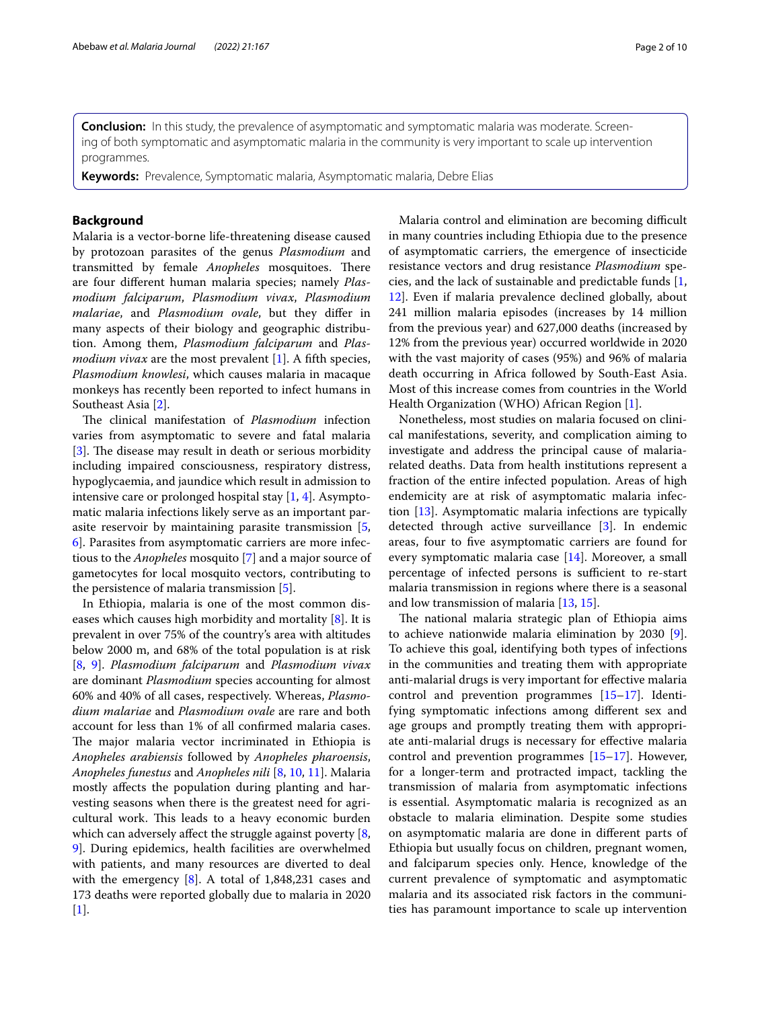**Conclusion:** In this study, the prevalence of asymptomatic and symptomatic malaria was moderate. Screening of both symptomatic and asymptomatic malaria in the community is very important to scale up intervention programmes.

**Keywords:** Prevalence, Symptomatic malaria, Asymptomatic malaria, Debre Elias

# **Background**

Malaria is a vector-borne life-threatening disease caused by protozoan parasites of the genus *Plasmodium* and transmitted by female *Anopheles* mosquitoes. There are four diferent human malaria species; namely *Plasmodium falciparum*, *Plasmodium vivax*, *Plasmodium malariae*, and *Plasmodium ovale*, but they difer in many aspects of their biology and geographic distribution. Among them, *Plasmodium falciparum* and *Plasmodium vivax* are the most prevalent [[1](#page-8-0)]. A fifth species, *Plasmodium knowlesi*, which causes malaria in macaque monkeys has recently been reported to infect humans in Southeast Asia [[2\]](#page-8-1).

The clinical manifestation of *Plasmodium* infection varies from asymptomatic to severe and fatal malaria [[3\]](#page-8-2). The disease may result in death or serious morbidity including impaired consciousness, respiratory distress, hypoglycaemia, and jaundice which result in admission to intensive care or prolonged hospital stay [\[1](#page-8-0), [4\]](#page-8-3). Asymptomatic malaria infections likely serve as an important parasite reservoir by maintaining parasite transmission [\[5](#page-8-4), [6\]](#page-8-5). Parasites from asymptomatic carriers are more infectious to the *Anopheles* mosquito [[7\]](#page-8-6) and a major source of gametocytes for local mosquito vectors, contributing to the persistence of malaria transmission [[5](#page-8-4)].

In Ethiopia, malaria is one of the most common diseases which causes high morbidity and mortality [\[8](#page-8-7)]. It is prevalent in over 75% of the country's area with altitudes below 2000 m, and 68% of the total population is at risk [[8,](#page-8-7) [9\]](#page-8-8). *Plasmodium falciparum* and *Plasmodium vivax* are dominant *Plasmodium* species accounting for almost 60% and 40% of all cases, respectively. Whereas, *Plasmodium malariae* and *Plasmodium ovale* are rare and both account for less than 1% of all confrmed malaria cases. The major malaria vector incriminated in Ethiopia is *Anopheles arabiensis* followed by *Anopheles pharoensis*, *Anopheles funestus* and *Anopheles nili* [\[8](#page-8-7), [10,](#page-8-9) [11](#page-8-10)]. Malaria mostly afects the population during planting and harvesting seasons when there is the greatest need for agricultural work. This leads to a heavy economic burden which can adversely affect the struggle against poverty [\[8](#page-8-7), [9\]](#page-8-8). During epidemics, health facilities are overwhelmed with patients, and many resources are diverted to deal with the emergency [[8](#page-8-7)]. A total of 1,848,231 cases and 173 deaths were reported globally due to malaria in 2020 [[1\]](#page-8-0).

Malaria control and elimination are becoming difficult in many countries including Ethiopia due to the presence of asymptomatic carriers, the emergence of insecticide resistance vectors and drug resistance *Plasmodium* species, and the lack of sustainable and predictable funds [\[1](#page-8-0), [12\]](#page-8-11). Even if malaria prevalence declined globally, about 241 million malaria episodes (increases by 14 million from the previous year) and 627,000 deaths (increased by 12% from the previous year) occurred worldwide in 2020 with the vast majority of cases (95%) and 96% of malaria death occurring in Africa followed by South-East Asia. Most of this increase comes from countries in the World Health Organization (WHO) African Region [[1\]](#page-8-0).

Nonetheless, most studies on malaria focused on clinical manifestations, severity, and complication aiming to investigate and address the principal cause of malariarelated deaths. Data from health institutions represent a fraction of the entire infected population. Areas of high endemicity are at risk of asymptomatic malaria infection [[13\]](#page-8-12). Asymptomatic malaria infections are typically detected through active surveillance [[3](#page-8-2)]. In endemic areas, four to fve asymptomatic carriers are found for every symptomatic malaria case [\[14\]](#page-8-13). Moreover, a small percentage of infected persons is sufficient to re-start malaria transmission in regions where there is a seasonal and low transmission of malaria [[13](#page-8-12), [15\]](#page-8-14).

The national malaria strategic plan of Ethiopia aims to achieve nationwide malaria elimination by 2030 [\[9](#page-8-8)]. To achieve this goal, identifying both types of infections in the communities and treating them with appropriate anti-malarial drugs is very important for efective malaria control and prevention programmes [[15](#page-8-14)[–17](#page-8-15)]. Identifying symptomatic infections among diferent sex and age groups and promptly treating them with appropriate anti-malarial drugs is necessary for efective malaria control and prevention programmes [\[15–](#page-8-14)[17\]](#page-8-15). However, for a longer-term and protracted impact, tackling the transmission of malaria from asymptomatic infections is essential. Asymptomatic malaria is recognized as an obstacle to malaria elimination. Despite some studies on asymptomatic malaria are done in diferent parts of Ethiopia but usually focus on children, pregnant women, and falciparum species only. Hence, knowledge of the current prevalence of symptomatic and asymptomatic malaria and its associated risk factors in the communities has paramount importance to scale up intervention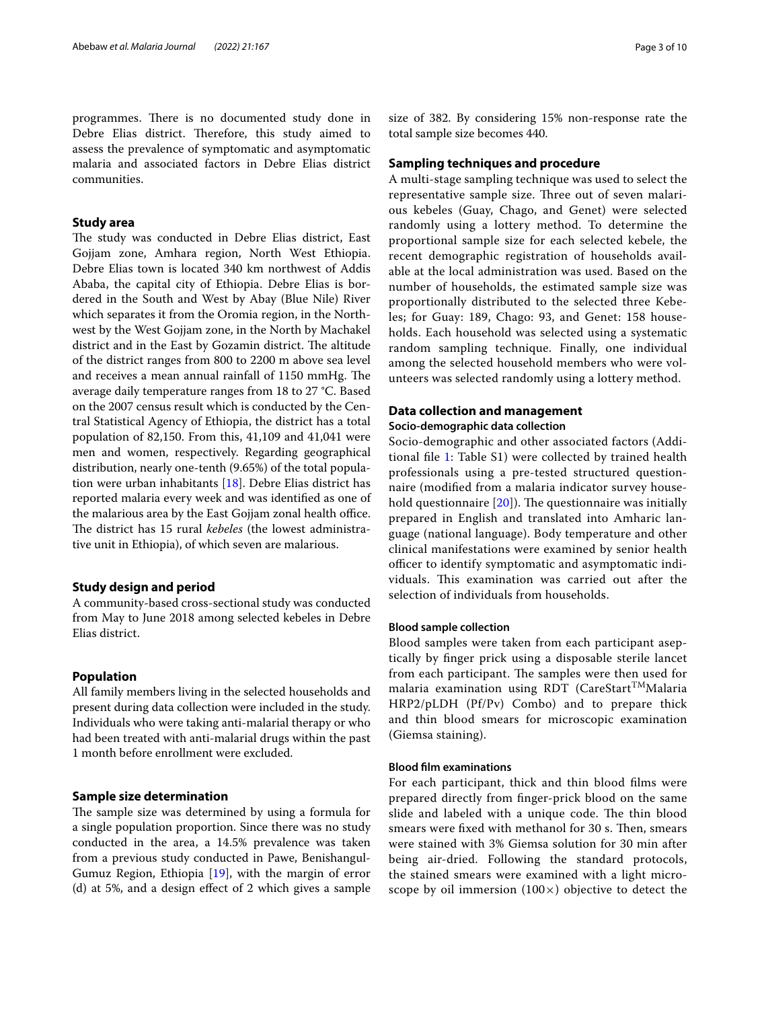programmes. There is no documented study done in Debre Elias district. Therefore, this study aimed to assess the prevalence of symptomatic and asymptomatic malaria and associated factors in Debre Elias district communities.

# **Study area**

The study was conducted in Debre Elias district, East Gojjam zone, Amhara region, North West Ethiopia. Debre Elias town is located 340 km northwest of Addis Ababa, the capital city of Ethiopia. Debre Elias is bordered in the South and West by Abay (Blue Nile) River which separates it from the Oromia region, in the Northwest by the West Gojjam zone, in the North by Machakel district and in the East by Gozamin district. The altitude of the district ranges from 800 to 2200 m above sea level and receives a mean annual rainfall of 1150 mmHg. The average daily temperature ranges from 18 to 27 °C. Based on the 2007 census result which is conducted by the Central Statistical Agency of Ethiopia, the district has a total population of 82,150. From this, 41,109 and 41,041 were men and women, respectively. Regarding geographical distribution, nearly one-tenth (9.65%) of the total population were urban inhabitants [\[18\]](#page-8-16). Debre Elias district has reported malaria every week and was identifed as one of the malarious area by the East Gojjam zonal health office. The district has 15 rural *kebeles* (the lowest administrative unit in Ethiopia), of which seven are malarious.

#### **Study design and period**

A community-based cross-sectional study was conducted from May to June 2018 among selected kebeles in Debre Elias district.

# **Population**

All family members living in the selected households and present during data collection were included in the study. Individuals who were taking anti-malarial therapy or who had been treated with anti-malarial drugs within the past 1 month before enrollment were excluded.

#### **Sample size determination**

The sample size was determined by using a formula for a single population proportion. Since there was no study conducted in the area, a 14.5% prevalence was taken from a previous study conducted in Pawe, Benishangul-Gumuz Region, Ethiopia [[19\]](#page-8-17), with the margin of error (d) at 5%, and a design efect of 2 which gives a sample

size of 382. By considering 15% non-response rate the total sample size becomes 440.

#### **Sampling techniques and procedure**

A multi-stage sampling technique was used to select the representative sample size. Three out of seven malarious kebeles (Guay, Chago, and Genet) were selected randomly using a lottery method. To determine the proportional sample size for each selected kebele, the recent demographic registration of households available at the local administration was used. Based on the number of households, the estimated sample size was proportionally distributed to the selected three Kebeles; for Guay: 189, Chago: 93, and Genet: 158 households. Each household was selected using a systematic random sampling technique. Finally, one individual among the selected household members who were volunteers was selected randomly using a lottery method.

# **Data collection and management**

#### **Socio‑demographic data collection**

Socio-demographic and other associated factors (Additional fle [1](#page-8-18): Table S1) were collected by trained health professionals using a pre-tested structured questionnaire (modifed from a malaria indicator survey household questionnaire  $[20]$  $[20]$ . The questionnaire was initially prepared in English and translated into Amharic language (national language). Body temperature and other clinical manifestations were examined by senior health officer to identify symptomatic and asymptomatic individuals. This examination was carried out after the selection of individuals from households.

# **Blood sample collection**

Blood samples were taken from each participant aseptically by fnger prick using a disposable sterile lancet from each participant. The samples were then used for malaria examination using RDT (CareStart<sup>TM</sup>Malaria HRP2/pLDH (Pf/Pv) Combo) and to prepare thick and thin blood smears for microscopic examination (Giemsa staining).

### **Blood flm examinations**

For each participant, thick and thin blood flms were prepared directly from fnger-prick blood on the same slide and labeled with a unique code. The thin blood smears were fixed with methanol for 30 s. Then, smears were stained with 3% Giemsa solution for 30 min after being air-dried. Following the standard protocols, the stained smears were examined with a light microscope by oil immersion  $(100\times)$  objective to detect the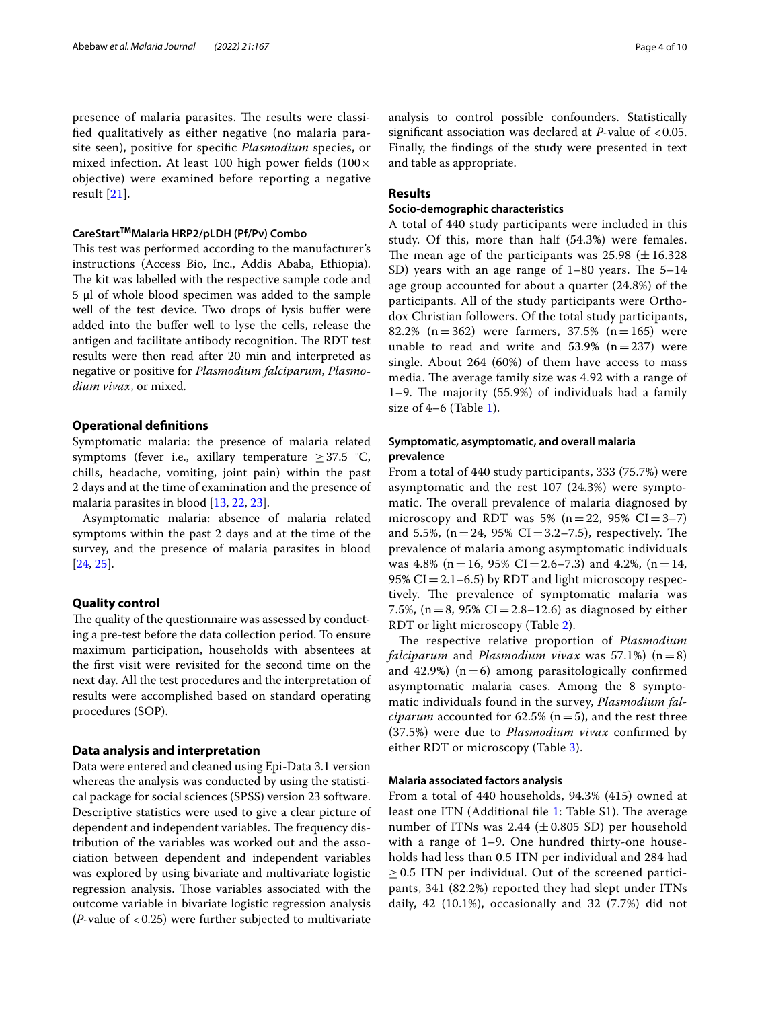presence of malaria parasites. The results were classifed qualitatively as either negative (no malaria parasite seen), positive for specifc *Plasmodium* species, or mixed infection. At least 100 high power fields  $(100 \times$ objective) were examined before reporting a negative result [\[21\]](#page-8-20).

#### **CareStartTMMalaria HRP2/pLDH (Pf/Pv) Combo**

This test was performed according to the manufacturer's instructions (Access Bio, Inc., Addis Ababa, Ethiopia). The kit was labelled with the respective sample code and 5 μl of whole blood specimen was added to the sample well of the test device. Two drops of lysis bufer were added into the buffer well to lyse the cells, release the antigen and facilitate antibody recognition. The RDT test results were then read after 20 min and interpreted as negative or positive for *Plasmodium falciparum*, *Plasmodium vivax*, or mixed.

#### **Operational defnitions**

Symptomatic malaria: the presence of malaria related symptoms (fever i.e., axillary temperature  $\geq 37.5$  °C, chills, headache, vomiting, joint pain) within the past 2 days and at the time of examination and the presence of malaria parasites in blood [[13](#page-8-12), [22,](#page-8-21) [23](#page-8-22)].

Asymptomatic malaria: absence of malaria related symptoms within the past 2 days and at the time of the survey, and the presence of malaria parasites in blood [[24,](#page-8-23) [25](#page-8-24)].

### **Quality control**

The quality of the questionnaire was assessed by conducting a pre-test before the data collection period. To ensure maximum participation, households with absentees at the frst visit were revisited for the second time on the next day. All the test procedures and the interpretation of results were accomplished based on standard operating procedures (SOP).

# **Data analysis and interpretation**

Data were entered and cleaned using Epi-Data 3.1 version whereas the analysis was conducted by using the statistical package for social sciences (SPSS) version 23 software. Descriptive statistics were used to give a clear picture of dependent and independent variables. The frequency distribution of the variables was worked out and the association between dependent and independent variables was explored by using bivariate and multivariate logistic regression analysis. Those variables associated with the outcome variable in bivariate logistic regression analysis (*P*-value of <0.25) were further subjected to multivariate analysis to control possible confounders. Statistically signifcant association was declared at *P*-value of <0.05. Finally, the fndings of the study were presented in text and table as appropriate.

# **Results**

# **Socio‑demographic characteristics**

A total of 440 study participants were included in this study. Of this, more than half (54.3%) were females. The mean age of the participants was  $25.98 \ (\pm 16.328)$ SD) years with an age range of  $1-80$  years. The  $5-14$ age group accounted for about a quarter (24.8%) of the participants. All of the study participants were Orthodox Christian followers. Of the total study participants, 82.2% (n = 362) were farmers, 37.5% (n = 165) were unable to read and write and  $53.9\%$  (n=237) were single. About 264 (60%) of them have access to mass media. The average family size was 4.92 with a range of 1–9. The majority  $(55.9%)$  of individuals had a family size of  $4-6$  (Table [1](#page-4-0)).

# **Symptomatic, asymptomatic, and overall malaria prevalence**

From a total of 440 study participants, 333 (75.7%) were asymptomatic and the rest 107 (24.3%) were symptomatic. The overall prevalence of malaria diagnosed by microscopy and RDT was 5% ( $n=22$ , 95% CI=3-7) and 5.5%,  $(n=24, 95\% \text{ CI} = 3.2-7.5)$ , respectively. The prevalence of malaria among asymptomatic individuals was 4.8% (n = 16, 95% CI = 2.6–7.3) and 4.2%, (n = 14, 95%  $CI = 2.1 - 6.5$ ) by RDT and light microscopy respectively. The prevalence of symptomatic malaria was 7.5%, (n = 8, 95% CI = 2.8–12.6) as diagnosed by either RDT or light microscopy (Table [2\)](#page-4-1).

The respective relative proportion of *Plasmodium falciparum* and *Plasmodium vivax* was 57.1%)  $(n=8)$ and 42.9%)  $(n=6)$  among parasitologically confirmed asymptomatic malaria cases. Among the 8 symptomatic individuals found in the survey, *Plasmodium falciparum* accounted for 62.5% ( $n=5$ ), and the rest three (37.5%) were due to *Plasmodium vivax* confrmed by either RDT or microscopy (Table [3](#page-5-0)).

# **Malaria associated factors analysis**

From a total of 440 households, 94.3% (415) owned at least one ITN (Additional file [1](#page-8-18): Table S1). The average number of ITNs was  $2.44 \ (\pm 0.805 \ SD)$  per household with a range of 1–9. One hundred thirty-one households had less than 0.5 ITN per individual and 284 had  $\geq$  0.5 ITN per individual. Out of the screened participants, 341 (82.2%) reported they had slept under ITNs daily, 42 (10.1%), occasionally and 32 (7.7%) did not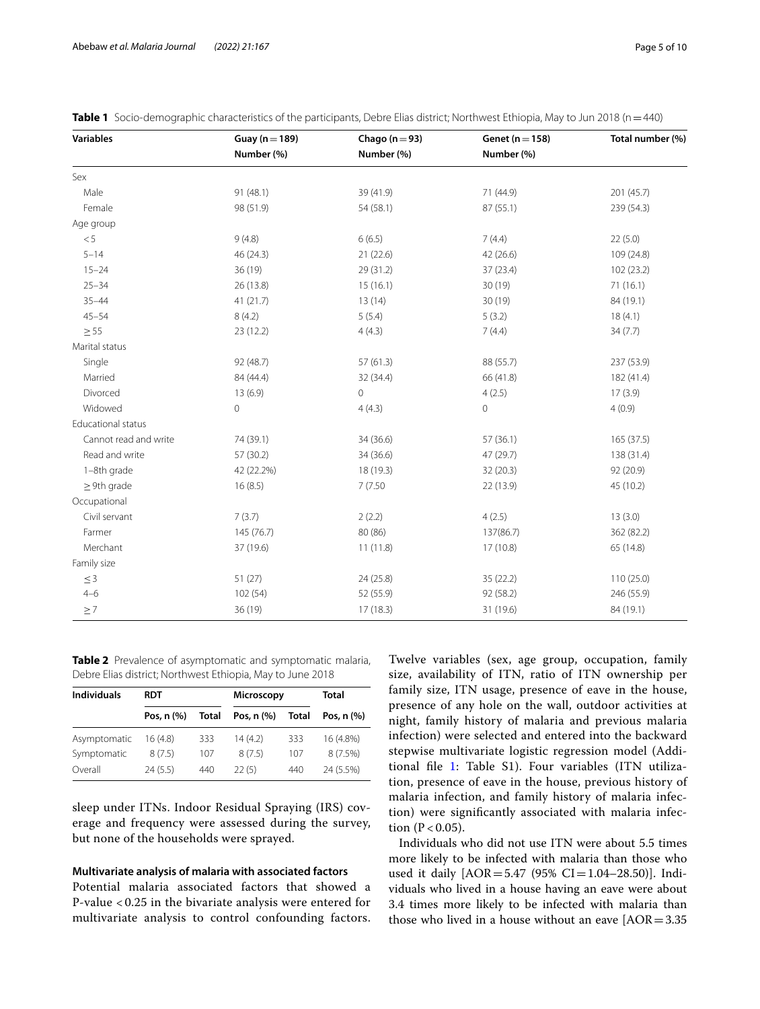| Variables             | Guay ( $n = 189$ ) | Chago ( $n = 93$ ) | Genet ( $n = 158$ ) | Total number (%) |  |
|-----------------------|--------------------|--------------------|---------------------|------------------|--|
|                       | Number (%)         | Number (%)         | Number (%)          |                  |  |
| Sex                   |                    |                    |                     |                  |  |
| Male                  | 91 (48.1)          | 39 (41.9)          | 71 (44.9)           | 201 (45.7)       |  |
| Female                | 98 (51.9)          | 54 (58.1)          | 87 (55.1)           | 239 (54.3)       |  |
| Age group             |                    |                    |                     |                  |  |
| < 5                   | 9(4.8)             | 6(6.5)             | 7(4.4)              | 22(5.0)          |  |
| $5 - 14$              | 46 (24.3)          | 21(22.6)           | 42 (26.6)           | 109 (24.8)       |  |
| $15 - 24$             | 36(19)             | 29 (31.2)          | 37(23.4)            | 102 (23.2)       |  |
| $25 - 34$             | 26 (13.8)          | 15(16.1)           | 30 (19)             | 71(16.1)         |  |
| $35 - 44$             | 41(21.7)           | 13(14)             | 30(19)              | 84 (19.1)        |  |
| $45 - 54$             | 8(4.2)             | 5(5.4)             | 5(3.2)              | 18(4.1)          |  |
| $\geq$ 55             | 23(12.2)           | 4(4.3)             | 7(4.4)              | 34(7.7)          |  |
| Marital status        |                    |                    |                     |                  |  |
| Single                | 92 (48.7)          | 57(61.3)           | 88 (55.7)           | 237 (53.9)       |  |
| Married               | 84 (44.4)          | 32 (34.4)          | 66 (41.8)           | 182 (41.4)       |  |
| Divorced              | 13(6.9)            | 0                  | 4(2.5)              | 17(3.9)          |  |
| Widowed               | $\circ$            | 4(4.3)             | $\mathsf{O}\xspace$ | 4(0.9)           |  |
| Educational status    |                    |                    |                     |                  |  |
| Cannot read and write | 74 (39.1)          | 34 (36.6)          | 57(36.1)            | 165 (37.5)       |  |
| Read and write        | 57(30.2)           | 34 (36.6)          | 47 (29.7)           | 138 (31.4)       |  |
| 1-8th grade           | 42 (22.2%)         | 18 (19.3)          | 32(20.3)            | 92 (20.9)        |  |
| $\geq$ 9th grade      | 16(8.5)            | 7(7.50)            | 22 (13.9)           | 45 (10.2)        |  |
| Occupational          |                    |                    |                     |                  |  |
| Civil servant         | 7(3.7)             | 2(2.2)             | 4(2.5)              | 13(3.0)          |  |
| Farmer                | 145 (76.7)         | 80 (86)            | 137(86.7)           | 362 (82.2)       |  |
| Merchant              | 37 (19.6)          | 11(11.8)           | 17(10.8)            | 65 (14.8)        |  |
| Family size           |                    |                    |                     |                  |  |
| $\leq 3$              | 51 (27)            | 24 (25.8)          | 35 (22.2)           | 110 (25.0)       |  |
| $4 - 6$               | 102 (54)           | 52 (55.9)          | 92 (58.2)           | 246 (55.9)       |  |
| $\geq 7$              | 36(19)             | 17(18.3)           | 31 (19.6)           | 84 (19.1)        |  |

<span id="page-4-0"></span>

| Table 1 Socio-demographic characteristics of the participants, Debre Elias district; Northwest Ethiopia, May to Jun 2018 (n = 440) |  |
|------------------------------------------------------------------------------------------------------------------------------------|--|
|------------------------------------------------------------------------------------------------------------------------------------|--|

<span id="page-4-1"></span>**Table 2** Prevalence of asymptomatic and symptomatic malaria, Debre Elias district; Northwest Ethiopia, May to June 2018

| <b>Individuals</b> | <b>RDT</b>      |              | <b>Microscopy</b> |       | Total                       |  |
|--------------------|-----------------|--------------|-------------------|-------|-----------------------------|--|
|                    | Pos. $n$ $(\%)$ | <b>Total</b> | Pos, n (%)        | Total | Pos. $n$ $\left(\% \right)$ |  |
| Asymptomatic       | 16 (4.8)        | 333          | 14(4.2)           | 333   | 16 (4.8%)                   |  |
| Symptomatic        | 8(7.5)          | 107          | 8(7.5)            | 107   | 8(7.5%)                     |  |
| Overall            | 24(5.5)         | 440          | 22(5)             | 440   | 24 (5.5%)                   |  |

sleep under ITNs. Indoor Residual Spraying (IRS) coverage and frequency were assessed during the survey, but none of the households were sprayed.

# **Multivariate analysis of malaria with associated factors**

Potential malaria associated factors that showed a P-value < 0.25 in the bivariate analysis were entered for multivariate analysis to control confounding factors. Twelve variables (sex, age group, occupation, family size, availability of ITN, ratio of ITN ownership per family size, ITN usage, presence of eave in the house, presence of any hole on the wall, outdoor activities at night, family history of malaria and previous malaria infection) were selected and entered into the backward stepwise multivariate logistic regression model (Additional fle [1:](#page-8-18) Table S1). Four variables (ITN utilization, presence of eave in the house, previous history of malaria infection, and family history of malaria infection) were signifcantly associated with malaria infection  $(P < 0.05)$ .

Individuals who did not use ITN were about 5.5 times more likely to be infected with malaria than those who used it daily  $[AOR = 5.47 (95\% CI = 1.04 - 28.50)].$  Individuals who lived in a house having an eave were about 3.4 times more likely to be infected with malaria than those who lived in a house without an eave  $[AOR=3.35]$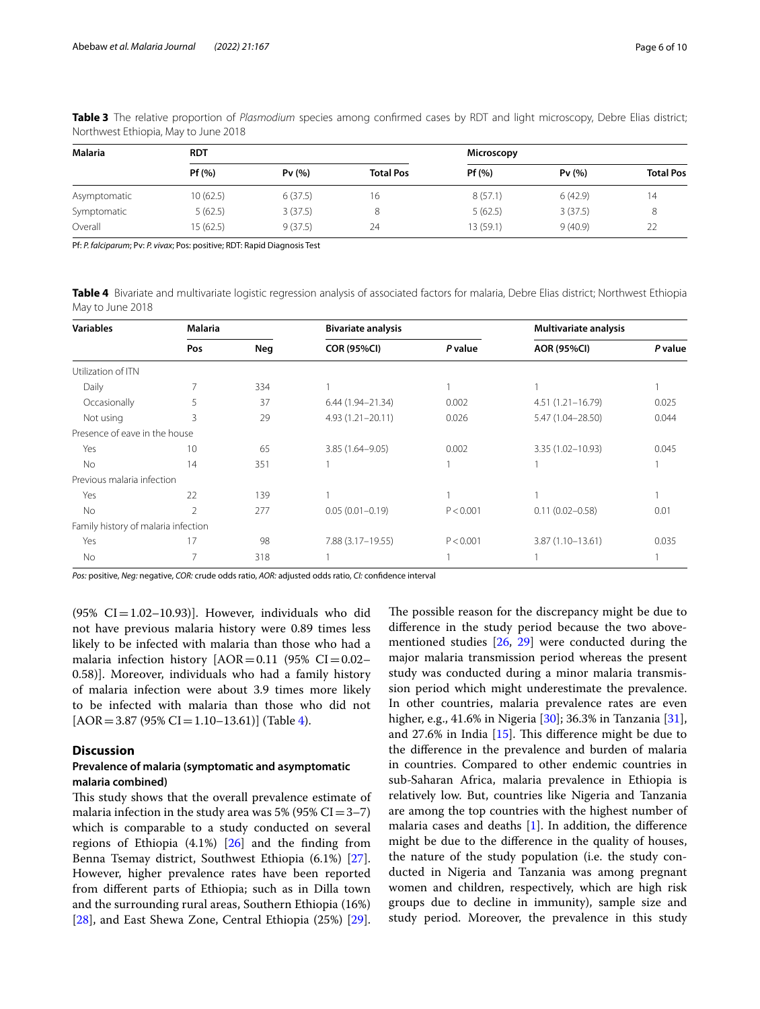| Malaria      | <b>RDT</b> |         |                  | <b>Microscopy</b> |         |                  |
|--------------|------------|---------|------------------|-------------------|---------|------------------|
|              | Pf(%)      | Pv(%)   | <b>Total Pos</b> | Pf(%)             | Pv(%)   | <b>Total Pos</b> |
| Asymptomatic | 10(62.5)   | 6(37.5) | 16               | 8(57.1)           | 6(42.9) | 14               |
| Symptomatic  | 5(62.5)    | 3(37.5) |                  | 5(62.5)           | 3(37.5) |                  |
| Overall      | 15 (62.5)  | 9(37.5) | 24               | 13 (59.1)         | 9(40.9) | 22               |

<span id="page-5-0"></span>**Table 3** The relative proportion of *Plasmodium* species among confrmed cases by RDT and light microscopy, Debre Elias district; Northwest Ethiopia, May to June 2018

Pf: *P. falciparum*; Pv: *P. vivax*; Pos: positive; RDT: Rapid Diagnosis Test

<span id="page-5-1"></span>**Table 4** Bivariate and multivariate logistic regression analysis of associated factors for malaria, Debre Elias district; Northwest Ethiopia May to June 2018

| <b>Variables</b>                    | Malaria        |     | <b>Bivariate analysis</b> |           | <b>Multivariate analysis</b> |         |
|-------------------------------------|----------------|-----|---------------------------|-----------|------------------------------|---------|
|                                     | Pos            | Neg | <b>COR (95%CI)</b>        | P value   | <b>AOR (95%CI)</b>           | P value |
| Utilization of ITN                  |                |     |                           |           |                              |         |
| Daily                               |                | 334 |                           |           |                              |         |
| Occasionally                        | 5              | 37  | 6.44 (1.94-21.34)         | 0.002     | $4.51(1.21 - 16.79)$         | 0.025   |
| Not using                           | 3              | 29  | $4.93(1.21 - 20.11)$      | 0.026     | 5.47 (1.04-28.50)            | 0.044   |
| Presence of eave in the house       |                |     |                           |           |                              |         |
| Yes                                 | 10             | 65  | $3.85(1.64 - 9.05)$       | 0.002     | 3.35 (1.02-10.93)            | 0.045   |
| No                                  | 14             | 351 |                           |           |                              |         |
| Previous malaria infection          |                |     |                           |           |                              |         |
| Yes                                 | 22             | 139 |                           |           |                              |         |
| <b>No</b>                           | $\mathfrak{D}$ | 277 | $0.05(0.01 - 0.19)$       | P < 0.001 | $0.11(0.02 - 0.58)$          | 0.01    |
| Family history of malaria infection |                |     |                           |           |                              |         |
| Yes                                 | 17             | 98  | 7.88 (3.17-19.55)         | P < 0.001 | 3.87 (1.10-13.61)            | 0.035   |
| <b>No</b>                           |                | 318 |                           |           |                              |         |

*Pos:* positive, *Neg:* negative, *COR:* crude odds ratio, *AOR:* adjusted odds ratio, *CI:* confdence interval

 $(95\% \text{ CI} = 1.02 - 10.93)$ . However, individuals who did not have previous malaria history were 0.89 times less likely to be infected with malaria than those who had a malaria infection history  $[AOR=0.11 (95\% CI=0.02-$ 0.58)]. Moreover, individuals who had a family history of malaria infection were about 3.9 times more likely to be infected with malaria than those who did not  $[AOR = 3.87 (95\% CI = 1.10 - 13.61)]$  (Table [4\)](#page-5-1).

# **Discussion**

# **Prevalence of malaria (symptomatic and asymptomatic malaria combined)**

This study shows that the overall prevalence estimate of malaria infection in the study area was 5% (95%  $CI = 3-7$ ) which is comparable to a study conducted on several regions of Ethiopia  $(4.1\%)$   $[26]$  $[26]$  and the finding from Benna Tsemay district, Southwest Ethiopia (6.1%) [\[27](#page-8-26)]. However, higher prevalence rates have been reported from diferent parts of Ethiopia; such as in Dilla town and the surrounding rural areas, Southern Ethiopia (16%) [[28\]](#page-8-27), and East Shewa Zone, Central Ethiopia (25%) [\[29](#page-9-0)].

The possible reason for the discrepancy might be due to diference in the study period because the two abovementioned studies [\[26](#page-8-25), [29](#page-9-0)] were conducted during the major malaria transmission period whereas the present study was conducted during a minor malaria transmission period which might underestimate the prevalence. In other countries, malaria prevalence rates are even higher, e.g., 41.6% in Nigeria [\[30](#page-9-1)]; 36.3% in Tanzania [\[31](#page-9-2)], and 27.6% in India  $[15]$  $[15]$ . This difference might be due to the diference in the prevalence and burden of malaria in countries. Compared to other endemic countries in sub-Saharan Africa, malaria prevalence in Ethiopia is relatively low. But, countries like Nigeria and Tanzania are among the top countries with the highest number of malaria cases and deaths [[1\]](#page-8-0). In addition, the diference might be due to the diference in the quality of houses, the nature of the study population (i.e. the study conducted in Nigeria and Tanzania was among pregnant women and children, respectively, which are high risk groups due to decline in immunity), sample size and study period. Moreover, the prevalence in this study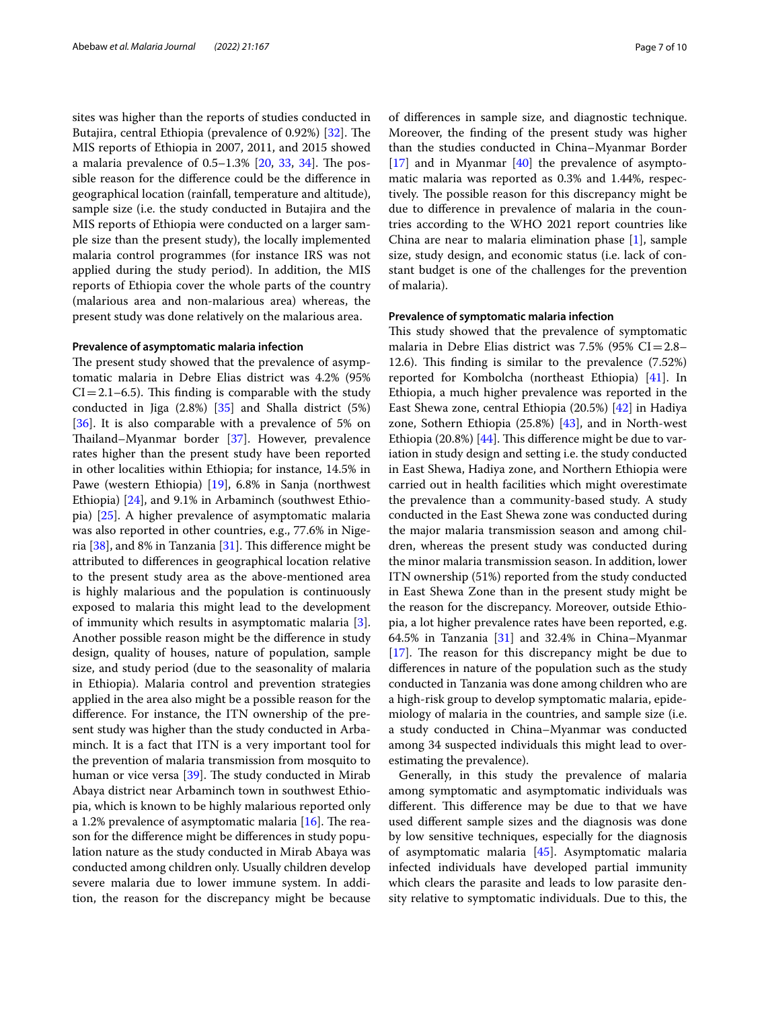sites was higher than the reports of studies conducted in Butajira, central Ethiopia (prevalence of 0.92%) [[32\]](#page-9-3). The MIS reports of Ethiopia in 2007, 2011, and 2015 showed a malaria prevalence of  $0.5-1.3\%$  [[20,](#page-8-19) [33](#page-9-4), [34](#page-9-5)]. The possible reason for the diference could be the diference in geographical location (rainfall, temperature and altitude), sample size (i.e. the study conducted in Butajira and the MIS reports of Ethiopia were conducted on a larger sample size than the present study), the locally implemented malaria control programmes (for instance IRS was not applied during the study period). In addition, the MIS reports of Ethiopia cover the whole parts of the country (malarious area and non-malarious area) whereas, the present study was done relatively on the malarious area.

#### **Prevalence of asymptomatic malaria infection**

The present study showed that the prevalence of asymptomatic malaria in Debre Elias district was 4.2% (95%  $CI = 2.1-6.5$ . This finding is comparable with the study conducted in Jiga (2.8%) [[35\]](#page-9-6) and Shalla district (5%) [[36\]](#page-9-7). It is also comparable with a prevalence of 5% on Tailand–Myanmar border [[37\]](#page-9-8). However, prevalence rates higher than the present study have been reported in other localities within Ethiopia; for instance, 14.5% in Pawe (western Ethiopia) [[19\]](#page-8-17), 6.8% in Sanja (northwest Ethiopia) [\[24\]](#page-8-23), and 9.1% in Arbaminch (southwest Ethiopia) [\[25](#page-8-24)]. A higher prevalence of asymptomatic malaria was also reported in other countries, e.g., 77.6% in Nigeria  $[38]$ , and 8% in Tanzania  $[31]$  $[31]$ . This difference might be attributed to diferences in geographical location relative to the present study area as the above-mentioned area is highly malarious and the population is continuously exposed to malaria this might lead to the development of immunity which results in asymptomatic malaria [\[3](#page-8-2)]. Another possible reason might be the diference in study design, quality of houses, nature of population, sample size, and study period (due to the seasonality of malaria in Ethiopia). Malaria control and prevention strategies applied in the area also might be a possible reason for the diference. For instance, the ITN ownership of the present study was higher than the study conducted in Arbaminch. It is a fact that ITN is a very important tool for the prevention of malaria transmission from mosquito to human or vice versa  $[39]$  $[39]$  $[39]$ . The study conducted in Mirab Abaya district near Arbaminch town in southwest Ethiopia, which is known to be highly malarious reported only a 1.2% prevalence of asymptomatic malaria  $[16]$  $[16]$  $[16]$ . The reason for the diference might be diferences in study population nature as the study conducted in Mirab Abaya was conducted among children only. Usually children develop severe malaria due to lower immune system. In addition, the reason for the discrepancy might be because of diferences in sample size, and diagnostic technique. Moreover, the fnding of the present study was higher than the studies conducted in China–Myanmar Border  $[17]$  $[17]$  and in Myanmar  $[40]$  $[40]$  the prevalence of asymptomatic malaria was reported as 0.3% and 1.44%, respectively. The possible reason for this discrepancy might be due to diference in prevalence of malaria in the countries according to the WHO 2021 report countries like China are near to malaria elimination phase [\[1](#page-8-0)], sample size, study design, and economic status (i.e. lack of constant budget is one of the challenges for the prevention of malaria).

#### **Prevalence of symptomatic malaria infection**

This study showed that the prevalence of symptomatic malaria in Debre Elias district was  $7.5\%$  (95% CI=2.8– 12.6). This finding is similar to the prevalence (7.52%) reported for Kombolcha (northeast Ethiopia) [\[41](#page-9-12)]. In Ethiopia, a much higher prevalence was reported in the East Shewa zone, central Ethiopia (20.5%) [[42\]](#page-9-13) in Hadiya zone, Sothern Ethiopia (25.8%) [[43](#page-9-14)], and in North-west Ethiopia (20.8%)  $[44]$  $[44]$  $[44]$ . This difference might be due to variation in study design and setting i.e. the study conducted in East Shewa, Hadiya zone, and Northern Ethiopia were carried out in health facilities which might overestimate the prevalence than a community-based study. A study conducted in the East Shewa zone was conducted during the major malaria transmission season and among children, whereas the present study was conducted during the minor malaria transmission season. In addition, lower ITN ownership (51%) reported from the study conducted in East Shewa Zone than in the present study might be the reason for the discrepancy. Moreover, outside Ethiopia, a lot higher prevalence rates have been reported, e.g. 64.5% in Tanzania  $[31]$  $[31]$  and 32.4% in China–Myanmar [[17\]](#page-8-15). The reason for this discrepancy might be due to diferences in nature of the population such as the study conducted in Tanzania was done among children who are a high-risk group to develop symptomatic malaria, epidemiology of malaria in the countries, and sample size (i.e. a study conducted in China–Myanmar was conducted among 34 suspected individuals this might lead to overestimating the prevalence).

Generally, in this study the prevalence of malaria among symptomatic and asymptomatic individuals was different. This difference may be due to that we have used diferent sample sizes and the diagnosis was done by low sensitive techniques, especially for the diagnosis of asymptomatic malaria [\[45](#page-9-16)]. Asymptomatic malaria infected individuals have developed partial immunity which clears the parasite and leads to low parasite density relative to symptomatic individuals. Due to this, the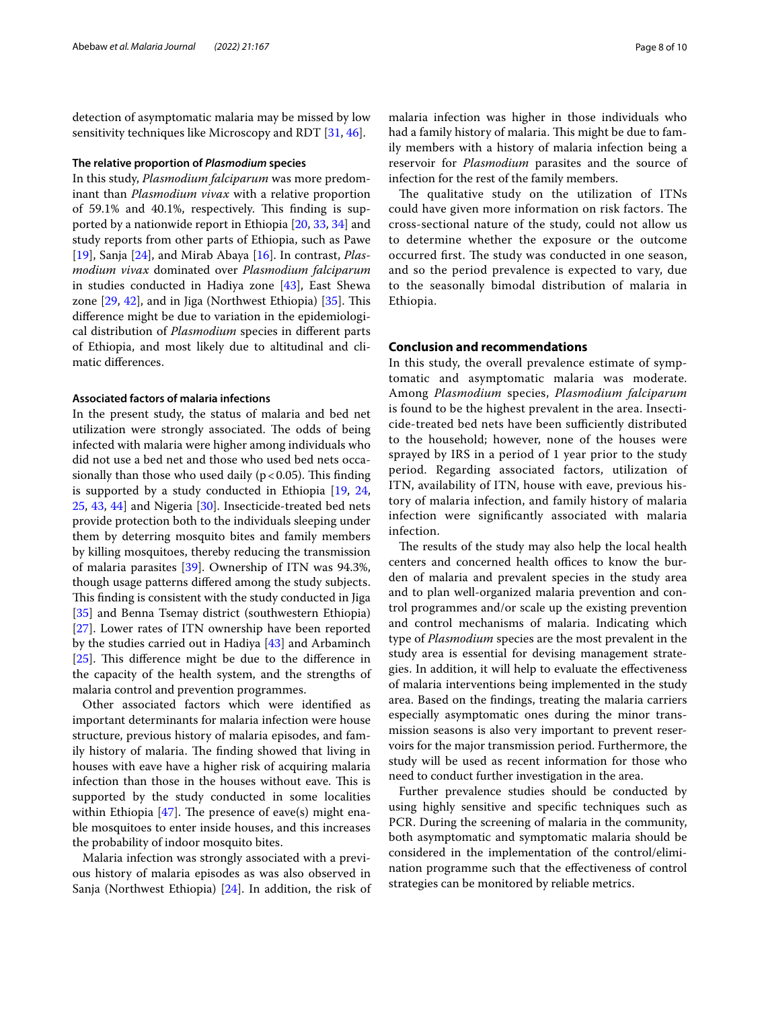detection of asymptomatic malaria may be missed by low sensitivity techniques like Microscopy and RDT [\[31,](#page-9-2) [46](#page-9-17)].

#### **The relative proportion of** *Plasmodium* **species**

In this study, *Plasmodium falciparum* was more predominant than *Plasmodium vivax* with a relative proportion of 59.1% and 40.1%, respectively. This finding is supported by a nationwide report in Ethiopia [\[20](#page-8-19), [33](#page-9-4), [34\]](#page-9-5) and study reports from other parts of Ethiopia, such as Pawe [[19\]](#page-8-17), Sanja [[24\]](#page-8-23), and Mirab Abaya [\[16](#page-8-28)]. In contrast, *Plasmodium vivax* dominated over *Plasmodium falciparum* in studies conducted in Hadiya zone [[43](#page-9-14)], East Shewa zone  $[29, 42]$  $[29, 42]$  $[29, 42]$ , and in Jiga (Northwest Ethiopia)  $[35]$  $[35]$ . This diference might be due to variation in the epidemiological distribution of *Plasmodium* species in diferent parts of Ethiopia, and most likely due to altitudinal and climatic diferences.

#### **Associated factors of malaria infections**

In the present study, the status of malaria and bed net utilization were strongly associated. The odds of being infected with malaria were higher among individuals who did not use a bed net and those who used bed nets occasionally than those who used daily ( $p < 0.05$ ). This finding is supported by a study conducted in Ethiopia [\[19](#page-8-17), [24](#page-8-23), [25,](#page-8-24) [43,](#page-9-14) [44\]](#page-9-15) and Nigeria [\[30\]](#page-9-1). Insecticide-treated bed nets provide protection both to the individuals sleeping under them by deterring mosquito bites and family members by killing mosquitoes, thereby reducing the transmission of malaria parasites [\[39](#page-9-10)]. Ownership of ITN was 94.3%, though usage patterns difered among the study subjects. This finding is consistent with the study conducted in Jiga [[35\]](#page-9-6) and Benna Tsemay district (southwestern Ethiopia) [[27\]](#page-8-26). Lower rates of ITN ownership have been reported by the studies carried out in Hadiya [\[43](#page-9-14)] and Arbaminch  $[25]$  $[25]$ . This difference might be due to the difference in the capacity of the health system, and the strengths of malaria control and prevention programmes.

Other associated factors which were identifed as important determinants for malaria infection were house structure, previous history of malaria episodes, and family history of malaria. The finding showed that living in houses with eave have a higher risk of acquiring malaria infection than those in the houses without eave. This is supported by the study conducted in some localities within Ethiopia  $[47]$  $[47]$ . The presence of eave(s) might enable mosquitoes to enter inside houses, and this increases the probability of indoor mosquito bites.

Malaria infection was strongly associated with a previous history of malaria episodes as was also observed in Sanja (Northwest Ethiopia) [\[24](#page-8-23)]. In addition, the risk of malaria infection was higher in those individuals who had a family history of malaria. This might be due to family members with a history of malaria infection being a reservoir for *Plasmodium* parasites and the source of infection for the rest of the family members.

The qualitative study on the utilization of ITNs could have given more information on risk factors. The cross-sectional nature of the study, could not allow us to determine whether the exposure or the outcome occurred first. The study was conducted in one season, and so the period prevalence is expected to vary, due to the seasonally bimodal distribution of malaria in Ethiopia.

# **Conclusion and recommendations**

In this study, the overall prevalence estimate of symptomatic and asymptomatic malaria was moderate. Among *Plasmodium* species, *Plasmodium falciparum* is found to be the highest prevalent in the area. Insecticide-treated bed nets have been sufficiently distributed to the household; however, none of the houses were sprayed by IRS in a period of 1 year prior to the study period. Regarding associated factors, utilization of ITN, availability of ITN, house with eave, previous history of malaria infection, and family history of malaria infection were signifcantly associated with malaria infection.

The results of the study may also help the local health centers and concerned health offices to know the burden of malaria and prevalent species in the study area and to plan well-organized malaria prevention and control programmes and/or scale up the existing prevention and control mechanisms of malaria. Indicating which type of *Plasmodium* species are the most prevalent in the study area is essential for devising management strategies. In addition, it will help to evaluate the efectiveness of malaria interventions being implemented in the study area. Based on the fndings, treating the malaria carriers especially asymptomatic ones during the minor transmission seasons is also very important to prevent reservoirs for the major transmission period. Furthermore, the study will be used as recent information for those who need to conduct further investigation in the area.

Further prevalence studies should be conducted by using highly sensitive and specifc techniques such as PCR. During the screening of malaria in the community, both asymptomatic and symptomatic malaria should be considered in the implementation of the control/elimination programme such that the efectiveness of control strategies can be monitored by reliable metrics.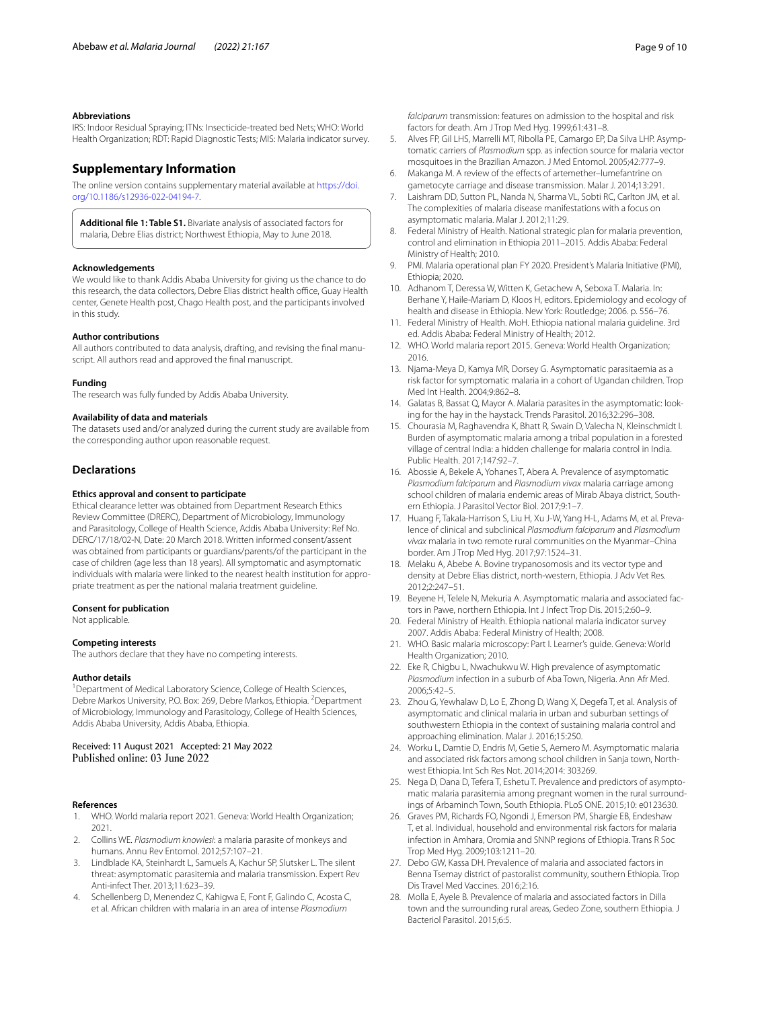#### **Abbreviations**

IRS: Indoor Residual Spraying; ITNs: Insecticide-treated bed Nets; WHO: World Health Organization; RDT: Rapid Diagnostic Tests; MIS: Malaria indicator survey.

# **Supplementary Information**

The online version contains supplementary material available at [https://doi.](https://doi.org/10.1186/s12936-022-04194-7) [org/10.1186/s12936-022-04194-7](https://doi.org/10.1186/s12936-022-04194-7).

<span id="page-8-18"></span>**Additional fle 1: Table S1.** Bivariate analysis of associated factors for malaria, Debre Elias district; Northwest Ethiopia, May to June 2018.

#### **Acknowledgements**

We would like to thank Addis Ababa University for giving us the chance to do this research, the data collectors, Debre Elias district health office, Guay Health center, Genete Health post, Chago Health post, and the participants involved in this study.

#### **Author contributions**

All authors contributed to data analysis, drafting, and revising the fnal manuscript. All authors read and approved the fnal manuscript.

#### **Funding**

The research was fully funded by Addis Ababa University.

#### **Availability of data and materials**

The datasets used and/or analyzed during the current study are available from the corresponding author upon reasonable request.

#### **Declarations**

#### **Ethics approval and consent to participate**

Ethical clearance letter was obtained from Department Research Ethics Review Committee (DRERC), Department of Microbiology, Immunology and Parasitology, College of Health Science, Addis Ababa University: Ref No. DERC/17/18/02-N, Date: 20 March 2018. Written informed consent/assent was obtained from participants or guardians/parents/of the participant in the case of children (age less than 18 years). All symptomatic and asymptomatic individuals with malaria were linked to the nearest health institution for appropriate treatment as per the national malaria treatment guideline.

#### **Consent for publication**

Not applicable.

#### **Competing interests**

The authors declare that they have no competing interests.

#### **Author details**

<sup>1</sup> Department of Medical Laboratory Science, College of Health Sciences, Debre Markos University, P.O. Box: 269, Debre Markos, Ethiopia. <sup>2</sup> Department of Microbiology, Immunology and Parasitology, College of Health Sciences, Addis Ababa University, Addis Ababa, Ethiopia.

# Received: 11 August 2021 Accepted: 21 May 2022<br>Published online: 03 June 2022

#### **References**

- <span id="page-8-0"></span>1. WHO. World malaria report 2021. Geneva: World Health Organization; 2021.
- <span id="page-8-1"></span>2. Collins WE. *Plasmodium knowlesi*: a malaria parasite of monkeys and humans. Annu Rev Entomol. 2012;57:107–21.
- <span id="page-8-2"></span>3. Lindblade KA, Steinhardt L, Samuels A, Kachur SP, Slutsker L. The silent threat: asymptomatic parasitemia and malaria transmission. Expert Rev Anti-infect Ther. 2013;11:623–39.
- <span id="page-8-3"></span>4. Schellenberg D, Menendez C, Kahigwa E, Font F, Galindo C, Acosta C, et al. African children with malaria in an area of intense *Plasmodium*

*falciparum* transmission: features on admission to the hospital and risk factors for death. Am J Trop Med Hyg. 1999;61:431–8.

- <span id="page-8-4"></span>5. Alves FP, Gil LHS, Marrelli MT, Ribolla PE, Camargo EP, Da Silva LHP. Asymptomatic carriers of *Plasmodium* spp. as infection source for malaria vector mosquitoes in the Brazilian Amazon. J Med Entomol. 2005;42:777–9.
- <span id="page-8-5"></span>6. Makanga M. A review of the efects of artemether–lumefantrine on gametocyte carriage and disease transmission. Malar J. 2014;13:291.
- <span id="page-8-6"></span>7. Laishram DD, Sutton PL, Nanda N, Sharma VL, Sobti RC, Carlton JM, et al. The complexities of malaria disease manifestations with a focus on asymptomatic malaria. Malar J. 2012;11:29.
- <span id="page-8-7"></span>8. Federal Ministry of Health. National strategic plan for malaria prevention, control and elimination in Ethiopia 2011–2015. Addis Ababa: Federal Ministry of Health; 2010.
- <span id="page-8-8"></span>9. PMI. Malaria operational plan FY 2020. President's Malaria Initiative (PMI), Ethiopia; 2020.
- <span id="page-8-9"></span>10. Adhanom T, Deressa W, Witten K, Getachew A, Seboxa T. Malaria. In: Berhane Y, Haile-Mariam D, Kloos H, editors. Epidemiology and ecology of health and disease in Ethiopia. New York: Routledge; 2006. p. 556–76.
- <span id="page-8-10"></span>11. Federal Ministry of Health. MoH. Ethiopia national malaria guideline. 3rd ed. Addis Ababa: Federal Ministry of Health; 2012.
- <span id="page-8-11"></span>12. WHO. World malaria report 2015. Geneva: World Health Organization; 2016.
- <span id="page-8-12"></span>13. Njama-Meya D, Kamya MR, Dorsey G. Asymptomatic parasitaemia as a risk factor for symptomatic malaria in a cohort of Ugandan children. Trop Med Int Health. 2004;9:862–8.
- <span id="page-8-13"></span>14. Galatas B, Bassat Q, Mayor A. Malaria parasites in the asymptomatic: looking for the hay in the haystack. Trends Parasitol. 2016;32:296–308.
- <span id="page-8-14"></span>15. Chourasia M, Raghavendra K, Bhatt R, Swain D, Valecha N, Kleinschmidt I. Burden of asymptomatic malaria among a tribal population in a forested village of central India: a hidden challenge for malaria control in India. Public Health. 2017;147:92–7.
- <span id="page-8-28"></span>16. Abossie A, Bekele A, Yohanes T, Abera A. Prevalence of asymptomatic *Plasmodium falciparum* and *Plasmodium vivax* malaria carriage among school children of malaria endemic areas of Mirab Abaya district, Southern Ethiopia. J Parasitol Vector Biol. 2017;9:1–7.
- <span id="page-8-15"></span>17. Huang F, Takala-Harrison S, Liu H, Xu J-W, Yang H-L, Adams M, et al. Prevalence of clinical and subclinical *Plasmodium falciparum* and *Plasmodium vivax* malaria in two remote rural communities on the Myanmar–China border. Am J Trop Med Hyg. 2017;97:1524–31.
- <span id="page-8-16"></span>18. Melaku A, Abebe A. Bovine trypanosomosis and its vector type and density at Debre Elias district, north-western, Ethiopia. J Adv Vet Res. 2012;2:247–51.
- <span id="page-8-17"></span>19. Beyene H, Telele N, Mekuria A. Asymptomatic malaria and associated factors in Pawe, northern Ethiopia. Int J Infect Trop Dis. 2015;2:60–9.
- <span id="page-8-19"></span>20. Federal Ministry of Health. Ethiopia national malaria indicator survey 2007. Addis Ababa: Federal Ministry of Health; 2008.
- <span id="page-8-20"></span>21. WHO. Basic malaria microscopy: Part I. Learner's guide. Geneva: World Health Organization; 2010.
- <span id="page-8-21"></span>22. Eke R, Chigbu L, Nwachukwu W. High prevalence of asymptomatic *Plasmodium* infection in a suburb of Aba Town, Nigeria. Ann Afr Med. 2006;5:42–5.
- <span id="page-8-22"></span>23. Zhou G, Yewhalaw D, Lo E, Zhong D, Wang X, Degefa T, et al. Analysis of asymptomatic and clinical malaria in urban and suburban settings of southwestern Ethiopia in the context of sustaining malaria control and approaching elimination. Malar J. 2016;15:250.
- <span id="page-8-23"></span>24. Worku L, Damtie D, Endris M, Getie S, Aemero M. Asymptomatic malaria and associated risk factors among school children in Sanja town, Northwest Ethiopia. Int Sch Res Not. 2014;2014: 303269.
- <span id="page-8-24"></span>25. Nega D, Dana D, Tefera T, Eshetu T. Prevalence and predictors of asymptomatic malaria parasitemia among pregnant women in the rural surroundings of Arbaminch Town, South Ethiopia. PLoS ONE. 2015;10: e0123630.
- <span id="page-8-25"></span>26. Graves PM, Richards FO, Ngondi J, Emerson PM, Shargie EB, Endeshaw T, et al. Individual, household and environmental risk factors for malaria infection in Amhara, Oromia and SNNP regions of Ethiopia. Trans R Soc Trop Med Hyg. 2009;103:1211–20.
- <span id="page-8-26"></span>27. Debo GW, Kassa DH. Prevalence of malaria and associated factors in Benna Tsemay district of pastoralist community, southern Ethiopia. Trop Dis Travel Med Vaccines. 2016;2:16.
- <span id="page-8-27"></span>28. Molla E, Ayele B. Prevalence of malaria and associated factors in Dilla town and the surrounding rural areas, Gedeo Zone, southern Ethiopia. J Bacteriol Parasitol. 2015;6:5.